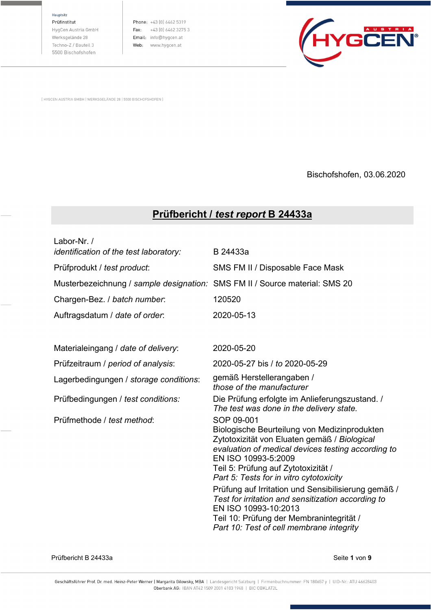Hauptsitz

Prüfinstitut HygCen Austria GmbH Werksgelände 28 Techno-Z / Bauteil 3 5500 Bischofshofen

Phone: +43 (0) 6462 5319 Fax:  $+43(0)646232753$ Email: info@hygcen.at Web: www.hygcen.at



[ HYGCEN AUSTRIA GMBH | WERKSGELÄNDE 28 | 5500 BISCHOFSHOFEN ]

Bischofshofen, 03.06.2020

## **Prüfbericht /** *test report* **B 24433a**

| Labor-Nr. /<br>identification of the test laboratory:                       | B 24433a                                                                                                                                                                                                                                                                                                                                                                                                                                                                                               |
|-----------------------------------------------------------------------------|--------------------------------------------------------------------------------------------------------------------------------------------------------------------------------------------------------------------------------------------------------------------------------------------------------------------------------------------------------------------------------------------------------------------------------------------------------------------------------------------------------|
| Prüfprodukt / test product:                                                 | SMS FM II / Disposable Face Mask                                                                                                                                                                                                                                                                                                                                                                                                                                                                       |
| Musterbezeichnung / sample designation: SMS FM II / Source material: SMS 20 |                                                                                                                                                                                                                                                                                                                                                                                                                                                                                                        |
| Chargen-Bez. / batch number.                                                | 120520                                                                                                                                                                                                                                                                                                                                                                                                                                                                                                 |
| Auftragsdatum / date of order:                                              | 2020-05-13                                                                                                                                                                                                                                                                                                                                                                                                                                                                                             |
| Materialeingang / date of delivery:                                         | 2020-05-20                                                                                                                                                                                                                                                                                                                                                                                                                                                                                             |
| Prüfzeitraum / period of analysis:                                          | 2020-05-27 bis / to 2020-05-29                                                                                                                                                                                                                                                                                                                                                                                                                                                                         |
| Lagerbedingungen / storage conditions:                                      | gemäß Herstellerangaben /<br>those of the manufacturer                                                                                                                                                                                                                                                                                                                                                                                                                                                 |
| Prüfbedingungen / test conditions:                                          | Die Prüfung erfolgte im Anlieferungszustand. /<br>The test was done in the delivery state.                                                                                                                                                                                                                                                                                                                                                                                                             |
| Prüfmethode / test method:                                                  | SOP 09-001<br>Biologische Beurteilung von Medizinprodukten<br>Zytotoxizität von Eluaten gemäß / Biological<br>evaluation of medical devices testing according to<br>EN ISO 10993-5:2009<br>Teil 5: Prüfung auf Zytotoxizität /<br>Part 5: Tests for in vitro cytotoxicity<br>Prüfung auf Irritation und Sensibilisierung gemäß /<br>Test for irritation and sensitization according to<br>EN ISO 10993-10:2013<br>Teil 10: Prüfung der Membranintegrität /<br>Part 10: Test of cell membrane integrity |

Prüfbericht B 24433a Seite **1** von **9**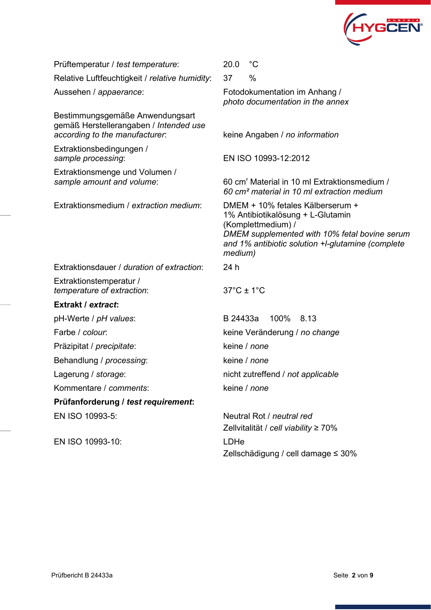

| Prüftemperatur / test temperature:                                                                          | $^{\circ}C$<br>20.0                                                                                                                                                                                          |  |  |
|-------------------------------------------------------------------------------------------------------------|--------------------------------------------------------------------------------------------------------------------------------------------------------------------------------------------------------------|--|--|
| Relative Luftfeuchtigkeit / relative humidity:                                                              | 37<br>$\%$                                                                                                                                                                                                   |  |  |
| Aussehen / appaerance:                                                                                      | Fotodokumentation im Anhang /<br>photo documentation in the annex                                                                                                                                            |  |  |
| Bestimmungsgemäße Anwendungsart<br>gemäß Herstellerangaben / Intended use<br>according to the manufacturer. | keine Angaben / no information                                                                                                                                                                               |  |  |
| Extraktionsbedingungen /<br>sample processing:                                                              | EN ISO 10993-12:2012                                                                                                                                                                                         |  |  |
| Extraktionsmenge und Volumen /<br>sample amount and volume:                                                 | 60 cm <sup>2</sup> Material in 10 ml Extraktionsmedium /<br>60 cm <sup>2</sup> material in 10 ml extraction medium                                                                                           |  |  |
| Extraktionsmedium / extraction medium:                                                                      | DMEM + 10% fetales Kälberserum +<br>1% Antibiotikalösung + L-Glutamin<br>(Komplettmedium) /<br>DMEM supplemented with 10% fetal bovine serum<br>and 1% antibiotic solution +I-glutamine (complete<br>medium) |  |  |
| Extraktions dauer / duration of extraction:                                                                 | 24 h                                                                                                                                                                                                         |  |  |
| Extraktionstemperatur /<br>temperature of extraction:                                                       | $37^{\circ}$ C ± 1 $^{\circ}$ C                                                                                                                                                                              |  |  |
| Extrakt / extract:                                                                                          |                                                                                                                                                                                                              |  |  |
| pH-Werte / pH values:                                                                                       | 100%<br>B 24433a<br>8.13                                                                                                                                                                                     |  |  |
| Farbe / colour:                                                                                             | keine Veränderung / no change                                                                                                                                                                                |  |  |
| Präzipitat / precipitate:                                                                                   | keine / none                                                                                                                                                                                                 |  |  |
| Behandlung / processing:                                                                                    | keine / none                                                                                                                                                                                                 |  |  |
| Lagerung / storage:                                                                                         | nicht zutreffend / not applicable                                                                                                                                                                            |  |  |
| Kommentare / comments:                                                                                      | keine / none                                                                                                                                                                                                 |  |  |
| Prüfanforderung / test requirement:                                                                         |                                                                                                                                                                                                              |  |  |
| EN ISO 10993-5:                                                                                             | Neutral Rot / neutral red<br>Zellvitalität / cell viability ≥ 70%                                                                                                                                            |  |  |
| EN ISO 10993-10:                                                                                            | LDHe                                                                                                                                                                                                         |  |  |

Zellschädigung / cell damage ≤ 30%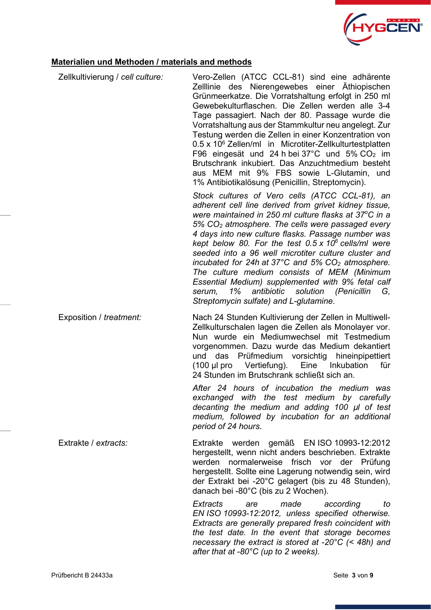

## **Materialien und Methoden / materials and methods**

| Zellkultivierung / cell culture: | Vero-Zellen (ATCC CCL-81) sind eine adhärente<br>Zelllinie des Nierengewebes einer Äthiopischen                                                                                                                                                                                                                                                                                                                                                                                                                                                                                                                                                                                                    |
|----------------------------------|----------------------------------------------------------------------------------------------------------------------------------------------------------------------------------------------------------------------------------------------------------------------------------------------------------------------------------------------------------------------------------------------------------------------------------------------------------------------------------------------------------------------------------------------------------------------------------------------------------------------------------------------------------------------------------------------------|
|                                  | Grünmeerkatze. Die Vorratshaltung erfolgt in 250 ml<br>Gewebekulturflaschen. Die Zellen werden alle 3-4<br>Tage passagiert. Nach der 80. Passage wurde die<br>Vorratshaltung aus der Stammkultur neu angelegt. Zur                                                                                                                                                                                                                                                                                                                                                                                                                                                                                 |
|                                  | Testung werden die Zellen in einer Konzentration von<br>0.5 x 10 <sup>6</sup> Zellen/ml in Microtiter-Zellkulturtestplatten<br>F96 eingesät und 24 h bei 37°C und 5% CO <sub>2</sub> im<br>Brutschrank inkubiert. Das Anzuchtmedium besteht<br>aus MEM mit 9% FBS sowie L-Glutamin, und<br>1% Antibiotikalösung (Penicillin, Streptomycin).                                                                                                                                                                                                                                                                                                                                                        |
|                                  | Stock cultures of Vero cells (ATCC CCL-81), an<br>adherent cell line derived from grivet kidney tissue,<br>were maintained in 250 ml culture flasks at 37°C in a<br>5% CO <sub>2</sub> atmosphere. The cells were passaged every<br>4 days into new culture flasks. Passage number was<br>kept below 80. For the test $0.5 \times 10^6$ cells/ml were<br>seeded into a 96 well microtiter culture cluster and<br>incubated for 24h at 37 $^{\circ}$ C and 5% CO <sub>2</sub> atmosphere.<br>The culture medium consists of MEM (Minimum<br>Essential Medium) supplemented with 9% fetal calf<br>1%<br>antibiotic<br>solution (Penicillin<br>serum,<br>G.<br>Streptomycin sulfate) and L-glutamine. |
| Exposition / treatment:          | Nach 24 Stunden Kultivierung der Zellen in Multiwell-<br>Zellkulturschalen lagen die Zellen als Monolayer vor.<br>Nun wurde ein Mediumwechsel mit Testmedium<br>vorgenommen. Dazu wurde das Medium dekantiert<br>das Prüfmedium vorsichtig hineinpipettiert<br>und<br>$(100 \mu$ pro Vertiefung).<br>Eine<br>Inkubation<br>für<br>24 Stunden im Brutschrank schließt sich an.                                                                                                                                                                                                                                                                                                                      |
|                                  | After 24 hours of incubation the medium was<br>exchanged with the test medium by carefully<br>decanting the medium and adding 100 µl of test<br>medium, followed by incubation for an additional<br>period of 24 hours.                                                                                                                                                                                                                                                                                                                                                                                                                                                                            |
| Extrakte / extracts:             | Extrakte werden gemäß EN ISO 10993-12:2012<br>hergestellt, wenn nicht anders beschrieben. Extrakte<br>werden normalerweise frisch vor der Prüfung<br>hergestellt. Sollte eine Lagerung notwendig sein, wird<br>der Extrakt bei -20°C gelagert (bis zu 48 Stunden),<br>danach bei -80°C (bis zu 2 Wochen).                                                                                                                                                                                                                                                                                                                                                                                          |
|                                  | Extracts<br>made<br>according<br>are<br>to<br>EN ISO 10993-12:2012, unless specified otherwise.<br>Extracts are generally prepared fresh coincident with<br>the test date. In the event that storage becomes<br>necessary the extract is stored at -20 $\degree$ C (< 48h) and<br>after that at -80°C (up to 2 weeks).                                                                                                                                                                                                                                                                                                                                                                             |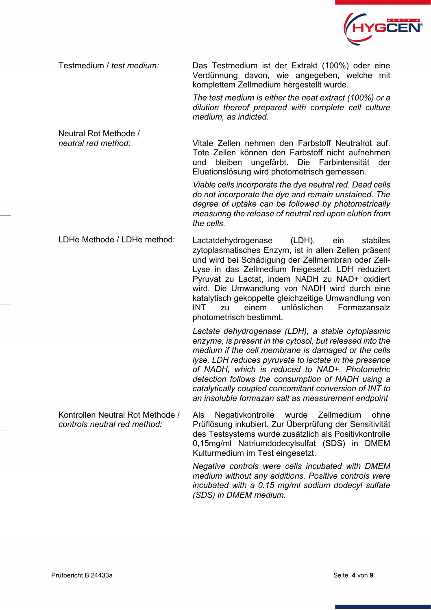

Testmedium / *test medium:* Das Testmedium ist der Extrakt (100%) oder eine Verdünnung davon, wie angegeben, welche mit komplettem Zellmedium hergestellt wurde.

> *The test medium is either the neat extract (100%) or a dilution thereof prepared with complete cell culture medium, as indicted.*

Neutral Rot Methode / *neutral red method:* Vitale Zellen nehmen den Farbstoff Neutralrot auf. Tote Zellen können den Farbstoff nicht aufnehmen und bleiben ungefärbt. Die Farbintensität der Eluationslösung wird photometrisch gemessen.

*Viable cells incorporate the dye neutral red. Dead cells do not incorporate the dye and remain unstained. The degree of uptake can be followed by photometrically measuring the release of neutral red upon elution from the cells.*

LDHe Methode / LDHe method: Lactatdehydrogenase (LDH), ein stabiles zytoplasmatisches Enzym, ist in allen Zellen präsent und wird bei Schädigung der Zellmembran oder Zell-Lyse in das Zellmedium freigesetzt. LDH reduziert Pyruvat zu Lactat, indem NADH zu NAD+ oxidiert wird. Die Umwandlung von NADH wird durch eine katalytisch gekoppelte gleichzeitige Umwandlung von INT zu einem unlöslichen Formazansalz photometrisch bestimmt.

> *Lactate dehydrogenase (LDH), a stable cytoplasmic enzyme, is present in the cytosol, but released into the medium if the cell membrane is damaged or the cells lyse. LDH reduces pyruvate to lactate in the presence of NADH, which is reduced to NAD+. Photometric detection follows the consumption of NADH using a catalytically coupled concomitant conversion of INT to an insoluble formazan salt as measurement endpoint*

Kontrollen Neutral Rot Methode / *controls neutral red method:*  Als Negativkontrolle wurde Zellmedium ohne Prüflösung inkubiert. Zur Überprüfung der Sensitivität des Testsystems wurde zusätzlich als Positivkontrolle 0,15mg/ml Natriumdodecylsulfat (SDS) in DMEM Kulturmedium im Test eingesetzt.

> *Negative controls were cells incubated with DMEM medium without any additions. Positive controls were incubated with a 0.15 mg/ml sodium dodecyl sulfate (SDS) in DMEM medium.*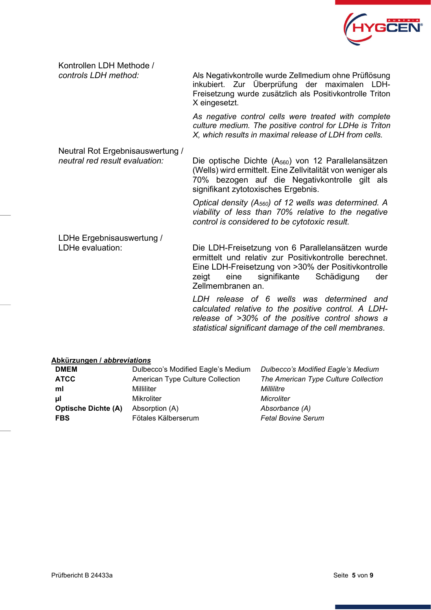

Kontrollen LDH Methode /

*controls LDH method:* Als Negativkontrolle wurde Zellmedium ohne Prüflösung inkubiert. Zur Überprüfung der maximalen LDH-Freisetzung wurde zusätzlich als Positivkontrolle Triton X eingesetzt.

> *As negative control cells were treated with complete culture medium. The positive control for LDHe is Triton X, which results in maximal release of LDH from cells.*

Neutral Rot Ergebnisauswertung /<br>neutral red result evaluation:

Die optische Dichte (A<sub>560</sub>) von 12 Parallelansätzen (Wells) wird ermittelt. Eine Zellvitalität von weniger als 70% bezogen auf die Negativkontrolle gilt als signifikant zytotoxisches Ergebnis.

*Optical density (A560) of 12 wells was determined. A viability of less than 70% relative to the negative control is considered to be cytotoxic result.*

# LDHe Ergebnisauswertung /<br>LDHe evaluation:

Die LDH-Freisetzung von 6 Parallelansätzen wurde ermittelt und relativ zur Positivkontrolle berechnet. Eine LDH-Freisetzung von >30% der Positivkontrolle zeigt eine signifikante Schädigung der Zellmembranen an.

*LDH release of 6 wells was determined and calculated relative to the positive control. A LDHrelease of >30% of the positive control shows a statistical significant damage of the cell membranes*.

#### **Abkürzungen /** *abbreviations*

| <b>DMEM</b>                | Dulbecco's Modified Eagle's Medium | Dulbecco's Modified Eagle's Medium   |
|----------------------------|------------------------------------|--------------------------------------|
| <b>ATCC</b>                | American Type Culture Collection   | The American Type Culture Collection |
| ml                         | Milliliter                         | Millilitre                           |
| μI                         | <b>Mikroliter</b>                  | Microliter                           |
| <b>Optische Dichte (A)</b> | Absorption (A)                     | Absorbance (A)                       |
| <b>FBS</b>                 | Fötales Kälberserum                | <b>Fetal Bovine Serum</b>            |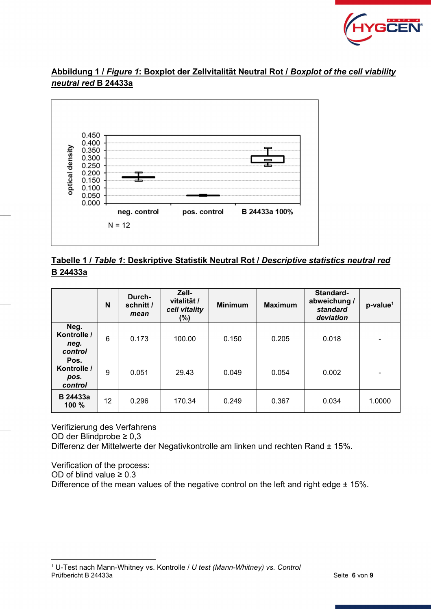

## **Abbildung 1 /** *Figure 1***: Boxplot der Zellvitalität Neutral Rot /** *Boxplot of the cell viability neutral red* **B 24433a**



## **Tabelle 1 /** *Table 1***: Deskriptive Statistik Neutral Rot /** *Descriptive statistics neutral red* **B 24433a**

|                                        | N  | Durch-<br>schnitt /<br>mean | Zell-<br>vitalität /<br>cell vitality<br>$(\%)$ | <b>Minimum</b> | <b>Maximum</b> | Standard-<br>abweichung /<br>standard<br>deviation | p-value <sup>1</sup>     |
|----------------------------------------|----|-----------------------------|-------------------------------------------------|----------------|----------------|----------------------------------------------------|--------------------------|
| Neg.<br>Kontrolle /<br>neg.<br>control | 6  | 0.173                       | 100.00                                          | 0.150          | 0.205          | 0.018                                              |                          |
| Pos.<br>Kontrolle /<br>pos.<br>control | 9  | 0.051                       | 29.43                                           | 0.049          | 0.054          | 0.002                                              | $\overline{\phantom{0}}$ |
| <b>B</b> 24433a<br>100%                | 12 | 0.296                       | 170.34                                          | 0.249          | 0.367          | 0.034                                              | 1.0000                   |

Verifizierung des Verfahrens OD der Blindprobe ≥ 0,3

Differenz der Mittelwerte der Negativkontrolle am linken und rechten Rand ± 15%.

Verification of the process: OD of blind value  $\geq 0.3$ Difference of the mean values of the negative control on the left and right edge  $\pm$  15%.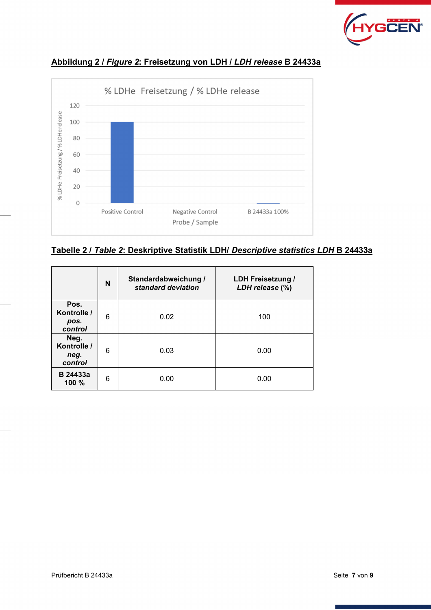



### **Abbildung 2 /** *Figure 2***: Freisetzung von LDH /** *LDH release* **B 24433a**

**Tabelle 2 /** *Table 2***: Deskriptive Statistik LDH/** *Descriptive statistics LDH* **B 24433a** 

|                                        | N | Standardabweichung /<br>standard deviation | <b>LDH Freisetzung /</b><br>LDH release (%) |
|----------------------------------------|---|--------------------------------------------|---------------------------------------------|
| Pos.<br>Kontrolle /<br>pos.<br>control | 6 | 0.02                                       | 100                                         |
| Neg.<br>Kontrolle /<br>neg.<br>control | 6 | 0.03                                       | 0.00                                        |
| <b>B</b> 24433a<br>100%                | 6 | 0.00                                       | 0.00                                        |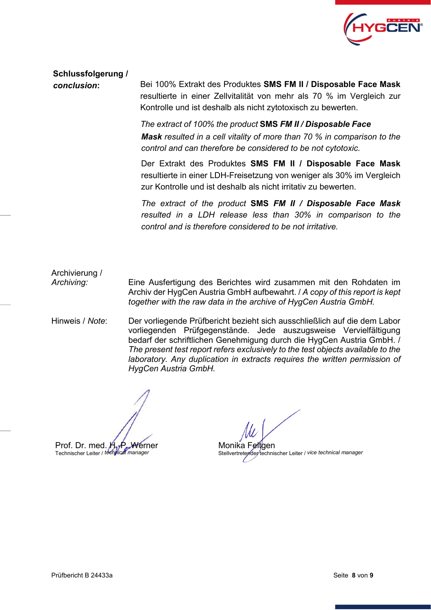

**Schlussfolgerung /** 

*conclusion***:** Bei 100% Extrakt des Produktes **SMS FM II / Disposable Face Mask**  resultierte in einer Zellvitalität von mehr als 70 % im Vergleich zur Kontrolle und ist deshalb als nicht zytotoxisch zu bewerten.

> *The extract of 100% the product* **SMS** *FM II / Disposable Face Mask resulted in a cell vitality of more than 70 % in comparison to the control and can therefore be considered to be not cytotoxic.*

> Der Extrakt des Produktes **SMS FM II / Disposable Face Mask**  resultierte in einer LDH-Freisetzung von weniger als 30% im Vergleich zur Kontrolle und ist deshalb als nicht irritativ zu bewerten.

> *The extract of the product* **SMS** *FM II / Disposable Face Mask resulted in a LDH release less than 30% in comparison to the control and is therefore considered to be not irritative.*

Archivierung / *Archiving:* Eine Ausfertigung des Berichtes wird zusammen mit den Rohdaten im Archiv der HygCen Austria GmbH aufbewahrt. / *A copy of this report is kept together with the raw data in the archive of HygCen Austria GmbH.* 

Hinweis / *Note*: Der vorliegende Prüfbericht bezieht sich ausschließlich auf die dem Labor vorliegenden Prüfgegenstände. Jede auszugsweise Vervielfältigung bedarf der schriftlichen Genehmigung durch die HygCen Austria GmbH. / *The present test report refers exclusively to the test objects available to the laboratory. Any duplication in extracts requires the written permission of HygCen Austria GmbH.*

Monika Feltoen Stellvertretender technischer Leiter / *vice technical manager*

Prof. Dr. med. H.-P. Werner Technischer Leiter / *technical manager*